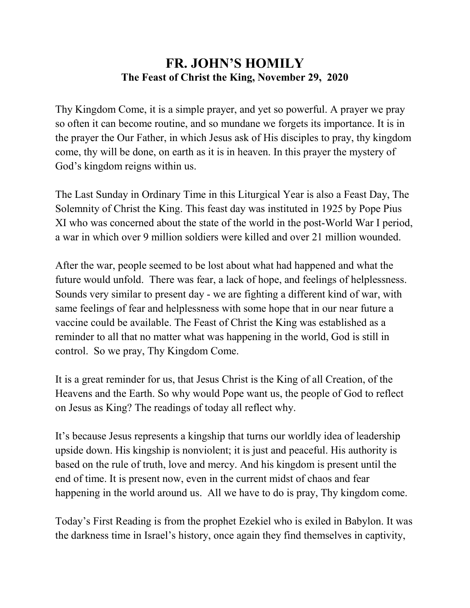## **FR. JOHN'S HOMILY The Feast of Christ the King, November 29, 2020**

Thy Kingdom Come, it is a simple prayer, and yet so powerful. A prayer we pray so often it can become routine, and so mundane we forgets its importance. It is in the prayer the Our Father, in which Jesus ask of His disciples to pray, thy kingdom come, thy will be done, on earth as it is in heaven. In this prayer the mystery of God's kingdom reigns within us.

The Last Sunday in Ordinary Time in this Liturgical Year is also a Feast Day, The Solemnity of Christ the King. This feast day was instituted in 1925 by Pope Pius XI who was concerned about the state of the world in the post-World War I period, a war in which over 9 million soldiers were killed and over 21 million wounded.

After the war, people seemed to be lost about what had happened and what the future would unfold. There was fear, a lack of hope, and feelings of helplessness. Sounds very similar to present day - we are fighting a different kind of war, with same feelings of fear and helplessness with some hope that in our near future a vaccine could be available. The Feast of Christ the King was established as a reminder to all that no matter what was happening in the world, God is still in control. So we pray, Thy Kingdom Come.

It is a great reminder for us, that Jesus Christ is the King of all Creation, of the Heavens and the Earth. So why would Pope want us, the people of God to reflect on Jesus as King? The readings of today all reflect why.

It's because Jesus represents a kingship that turns our worldly idea of leadership upside down. His kingship is nonviolent; it is just and peaceful. His authority is based on the rule of truth, love and mercy. And his kingdom is present until the end of time. It is present now, even in the current midst of chaos and fear happening in the world around us. All we have to do is pray, Thy kingdom come.

Today's First Reading is from the prophet Ezekiel who is exiled in Babylon. It was the darkness time in Israel's history, once again they find themselves in captivity,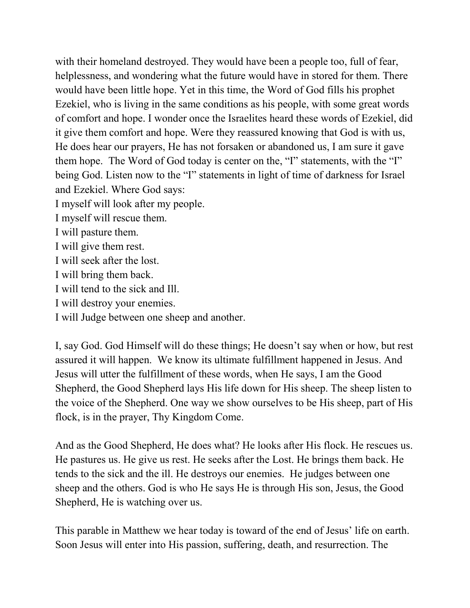with their homeland destroyed. They would have been a people too, full of fear, helplessness, and wondering what the future would have in stored for them. There would have been little hope. Yet in this time, the Word of God fills his prophet Ezekiel, who is living in the same conditions as his people, with some great words of comfort and hope. I wonder once the Israelites heard these words of Ezekiel, did it give them comfort and hope. Were they reassured knowing that God is with us, He does hear our prayers, He has not forsaken or abandoned us, I am sure it gave them hope. The Word of God today is center on the, "I" statements, with the "I" being God. Listen now to the "I" statements in light of time of darkness for Israel and Ezekiel. Where God says:

I myself will look after my people.

I myself will rescue them.

I will pasture them.

I will give them rest.

I will seek after the lost.

I will bring them back.

I will tend to the sick and Ill.

I will destroy your enemies.

I will Judge between one sheep and another.

I, say God. God Himself will do these things; He doesn't say when or how, but rest assured it will happen. We know its ultimate fulfillment happened in Jesus. And Jesus will utter the fulfillment of these words, when He says, I am the Good Shepherd, the Good Shepherd lays His life down for His sheep. The sheep listen to the voice of the Shepherd. One way we show ourselves to be His sheep, part of His flock, is in the prayer, Thy Kingdom Come.

And as the Good Shepherd, He does what? He looks after His flock. He rescues us. He pastures us. He give us rest. He seeks after the Lost. He brings them back. He tends to the sick and the ill. He destroys our enemies. He judges between one sheep and the others. God is who He says He is through His son, Jesus, the Good Shepherd, He is watching over us.

This parable in Matthew we hear today is toward of the end of Jesus' life on earth. Soon Jesus will enter into His passion, suffering, death, and resurrection. The